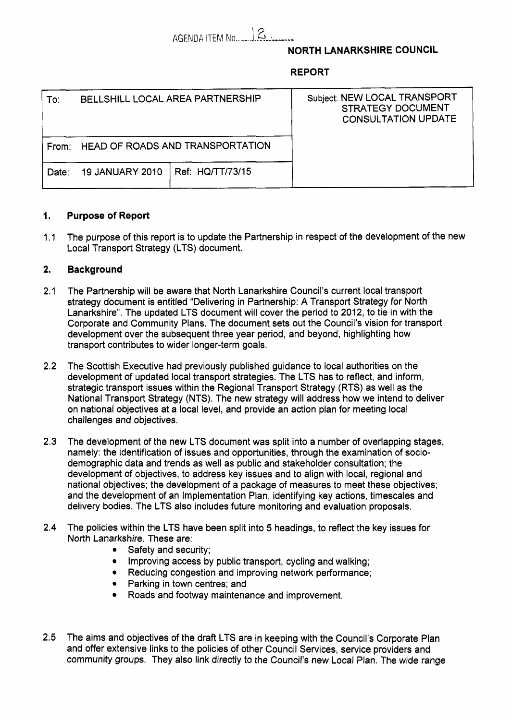AGENDA ITEM No.,,,,,,,,,,,,,,,,,,

# **NORTH LANARKSHIRE COUNCIL**

## **REPORT**

| To:   | BELLSHILL LOCAL AREA PARTNERSHIP |                  | Subject: NEW LOCAL TRANSPORT<br><b>STRATEGY DOCUMENT</b><br><b>CONSULTATION UPDATE</b> |
|-------|----------------------------------|------------------|----------------------------------------------------------------------------------------|
| From: | HEAD OF ROADS AND TRANSPORTATION |                  |                                                                                        |
| Date: | <b>19 JANUARY 2010</b>           | Ref: HQ/TT/73/15 |                                                                                        |

## **1. Purpose of Report**

1.1 The purpose of this report is to update the Partnership in respect of the development of the new Local Transport Strategy (LTS) document.

#### **2. Background**

- 2.1 The Partnership will be aware that North Lanarkshire Council's current local transport strategy document is entitled "Delivering in Partnership: A Transport Strategy for North Lanarkshire". The updated LTS document will cover the period to 2012, to tie in with the Corporate and Community Plans. The document sets out the Council's vision for transport development over the subsequent three year period, and beyond, highlighting how transport contributes to wider longer-term goals.
- 2.2 The Scottish Executive had previously published guidance to local authorities on the development of updated local transport strategies. The LTS has to reflect, and inform, strategic transport issues within the Regional Transport Strategy (RTS) as well as the National Transport Strategy (NTS). The new strategy will address how we intend to deliver on national objectives at a local level, and provide an action plan for meeting local challenges and objectives.
- 2.3 The development of the new LTS document was split into a number of overlapping stages, namely: the identification of issues and opportunities, through the examination of sociodemographic data and trends as well as public and stakeholder consultation; the development of objectives, to address key issues and to align with local, regional and national objectives; the development of a package of measures to meet these objectives; and the development of an Implementation Plan, identifying key actions, timescales and delivery bodies. The LTS also includes future monitoring and evaluation proposals.
- **2.4** The policies within the LTS have been split into *5* headings, to reflect the key issues for North Lanarkshire. These are:
	- Safety and security;
	- Improving access by public transport, cycling and walking;
	- Reducing congestion and improving network performance;
	- Parking in town centres; and
	- Roads and footway maintenance and improvement.
- 2.5 The aims and objectives of the draft LTS are in keeping with the Council's Corporate Plan and offer extensive links to the policies of other Council Services, service providers and community groups. They also link directly to the Council's new Local Plan. The wide range